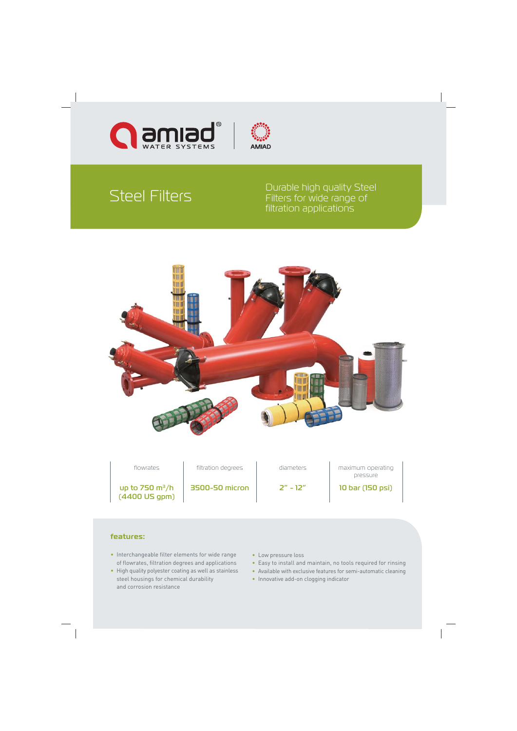



# Steel Filters

Durable high quality Steel Filters for wide range of filtration applications



flowrates **filtration degrees** diameters and maximum operating pressure

up to  $750 \text{ m}^3/h$ (4400 US gpm)

3500-50 micron 2" - 12" 10 bar (150 psi)

### **features:**

- Interchangeable filter elements for wide range of flowrates, filtration degrees and applications
- High quality polyester coating as well as stainless steel housings for chemical durability and corrosion resistance
- Low pressure loss
- Easy to install and maintain, no tools required for rinsing
- Available with exclusive features for semi-automatic cleaning
- Innovative add-on clogging indicator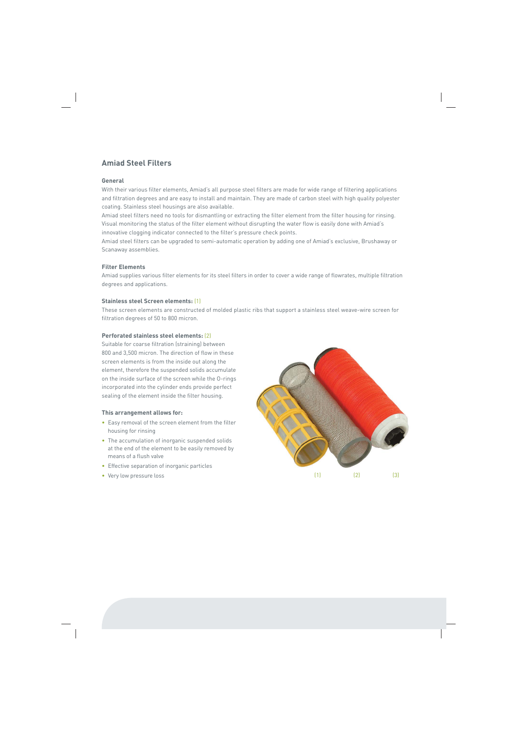### **Amiad Steel Filters**

### **General**

With their various filter elements, Amiad's all purpose steel filters are made for wide range of filtering applications and filtration degrees and are easy to install and maintain. They are made of carbon steel with high quality polyester coating. Stainless steel housings are also available.

Amiad steel filters need no tools for dismantling or extracting the filter element from the filter housing for rinsing. Visual monitoring the status of the filter element without disrupting the water flow is easily done with Amiad's innovative clogging indicator connected to the filter's pressure check points.

Amiad steel filters can be upgraded to semi-automatic operation by adding one of Amiad's exclusive, Brushaway or Scanaway assemblies.

### **Filter Elements**

Amiad supplies various filter elements for its steel filters in order to cover a wide range of flowrates, multiple filtration degrees and applications.

### **Stainless steel Screen elements:** (1)

These screen elements are constructed of molded plastic ribs that support a stainless steel weave-wire screen for filtration degrees of 50 to 800 micron.

### **Perforated stainless steel elements:** (2)

Suitable for coarse filtration (straining) between 800 and 3,500 micron. The direction of flow in these screen elements is from the inside out along the element, therefore the suspended solids accumulate on the inside surface of the screen while the O-rings incorporated into the cylinder ends provide perfect sealing of the element inside the filter housing.

### **This arrangement allows for:**

- Easy removal of the screen element from the filter housing for rinsing
- The accumulation of inorganic suspended solids at the end of the element to be easily removed by means of a flush valve
- Effective separation of inorganic particles
- Very low pressure loss

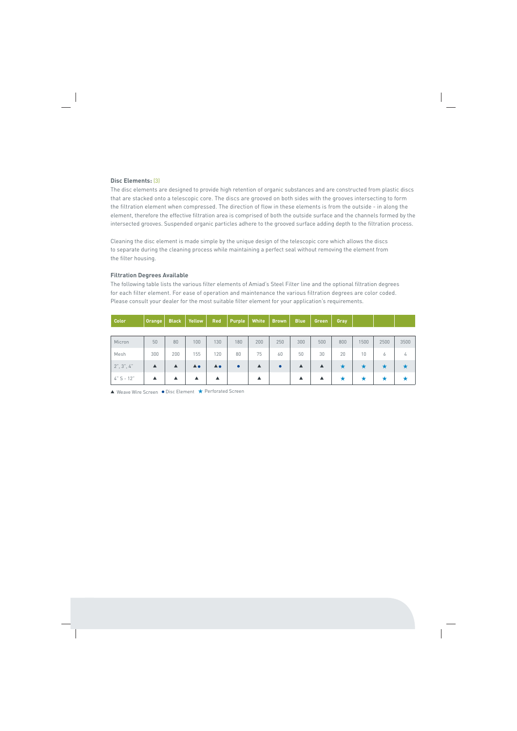#### **Disc Elements:** (3)

The disc elements are designed to provide high retention of organic substances and are constructed from plastic discs that are stacked onto a telescopic core. The discs are grooved on both sides with the grooves intersecting to form the filtration element when compressed. The direction of flow in these elements is from the outside - in along the element, therefore the effective filtration area is comprised of both the outside surface and the channels formed by the intersected grooves. Suspended organic particles adhere to the grooved surface adding depth to the filtration process.

Cleaning the disc element is made simple by the unique design of the telescopic core which allows the discs to separate during the cleaning process while maintaining a perfect seal without removing the element from the filter housing.

#### **Filtration Degrees Available**

The following table lists the various filter elements of Amiad's Steel Filter line and the optional filtration degrees for each filter element. For ease of operation and maintenance the various filtration degrees are color coded. Please consult your dealer for the most suitable filter element for your application's requirements.

| <b>Color</b>  | <b>Orange</b>    | <b>Black</b>     | Yellow                | <b>Red</b>                 | <b>Purple</b> | White            | <b>Brown</b> | <b>Blue</b> | Green | Gray |      |      |      |
|---------------|------------------|------------------|-----------------------|----------------------------|---------------|------------------|--------------|-------------|-------|------|------|------|------|
|               |                  |                  |                       |                            |               |                  |              |             |       |      |      |      |      |
| Micron        | 50               | 80               | 100                   | 130                        | 180           | 200              | 250          | 300         | 500   | 800  | 1500 | 2500 | 3500 |
| Mesh          | 300              | 200              | 155                   | 120                        | 80            | 75               | 60           | 50          | 30    | 20   | 10   | 6    | 4    |
| 2", 3", 4"    | $\blacktriangle$ | $\blacktriangle$ | $\triangle$ $\bullet$ | $\blacktriangle$ $\bullet$ | $\bullet$     | $\blacktriangle$ | $\bullet$    | ▲           | ▲     |      | ★    | ▼    | ★    |
| $4''$ S - 12" | ▲                |                  | ▲                     | ▲                          |               | ▲                |              | ▲           | ▲     |      |      |      | ★    |

▲ Weave Wire Screen ● Disc Element ★ Perforated Screen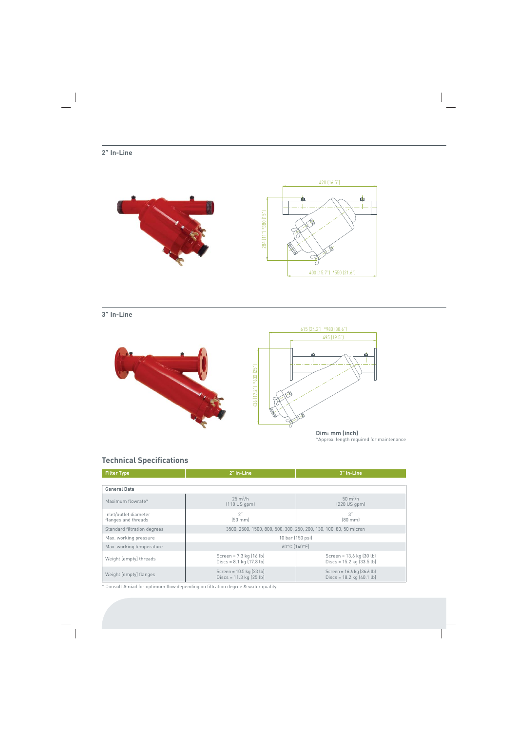### **2" In-Line**



### **3" In-Line**



\*Approx. length required for maintenance **Dim: mm (inch)**

### **Technical Specifications**

| <b>Filter Type</b>                           | 2" In-Line                                                                | 3" In-Line                                                      |  |
|----------------------------------------------|---------------------------------------------------------------------------|-----------------------------------------------------------------|--|
|                                              |                                                                           |                                                                 |  |
| <b>General Data</b>                          |                                                                           |                                                                 |  |
| Maximum flowrate*                            | $25 \text{ m}^3/h$<br>(110 US qpm)                                        | $50 \text{ m}^3/h$<br>[220 US qpm]                              |  |
| Inlet/outlet diameter<br>flanges and threads | 2"<br>$[50$ mm $]$                                                        | 3"<br>$[80$ mm $]$                                              |  |
| Standard filtration degrees                  | 3500, 2500, 1500, 800, 500, 300, 250, 200, 130, 100, 80, 50 micron        |                                                                 |  |
| Max. working pressure                        | 10 bar (150 psi)                                                          |                                                                 |  |
| Max. working temperature                     | 60°C [140°F]                                                              |                                                                 |  |
| Weight [empty] threads                       | Screen = $7.3$ kg $(16 \text{ lb})$<br>Discs = $8.1 \text{ kg}$ (17.8 lb) | Screen = 13.6 kg (30 lb)<br>Discs = $15.2$ kg $(33.5$ lb)       |  |
| Weight [empty] flanges                       | Screen = $10.5$ kg $(23$ lb)<br>Discs = $11.3$ kg $(25 lb)$               | Screen = $16.6$ kg $(36.6$ lb)<br>Discs = $18.2$ kg $(40.1$ lb) |  |

\* Consult Amiad for optimum flow depending on filtration degree & water quality.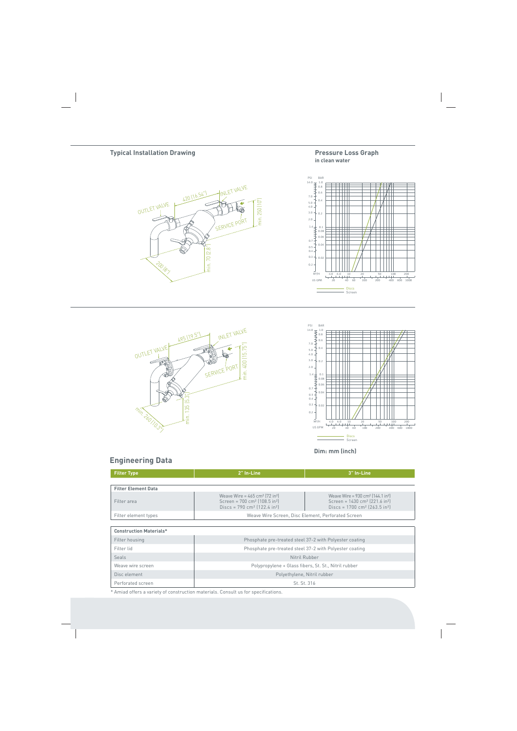#### **Pressure Loss Graph in clean water**









**Dim: mm (inch)**

### **Engineering Data**

| <b>Filter Type</b>             | 2" In-Line                                                                                                                                                           | 3" In-Line                                                                                                                                                                |  |  |
|--------------------------------|----------------------------------------------------------------------------------------------------------------------------------------------------------------------|---------------------------------------------------------------------------------------------------------------------------------------------------------------------------|--|--|
|                                |                                                                                                                                                                      |                                                                                                                                                                           |  |  |
| <b>Filter Element Data</b>     |                                                                                                                                                                      |                                                                                                                                                                           |  |  |
| Filter area                    | Weave Wire = $465 \text{ cm}^2$ (72 in <sup>2</sup> )<br>Screen = $700 \text{ cm}^2$ (108.5 in <sup>2</sup> )<br>Discs = $790 \text{ cm}^2$ (122.4 in <sup>2</sup> ) | Weave Wire = $930 \text{ cm}^2$ (144.1 in <sup>2</sup> )<br>Screen = $1430 \text{ cm}^2$ (221.6 in <sup>2</sup> )<br>Discs = $1700 \text{ cm}^2$ (263.5 in <sup>2</sup> ) |  |  |
| Filter element types           | Weave Wire Screen, Disc Element, Perforated Screen                                                                                                                   |                                                                                                                                                                           |  |  |
|                                |                                                                                                                                                                      |                                                                                                                                                                           |  |  |
| <b>Construction Materials*</b> |                                                                                                                                                                      |                                                                                                                                                                           |  |  |
| Filter housing                 | Phosphate pre-treated steel 37-2 with Polyester coating                                                                                                              |                                                                                                                                                                           |  |  |
| Filter lid                     | Phosphate pre-treated steel 37-2 with Polyester coating                                                                                                              |                                                                                                                                                                           |  |  |
| Seals                          | Nitril Rubber                                                                                                                                                        |                                                                                                                                                                           |  |  |
| Weave wire screen              | Polypropylene + Glass fibers, St. St., Nitril rubber                                                                                                                 |                                                                                                                                                                           |  |  |
| Disc element                   | Polyethylene, Nitril rubber                                                                                                                                          |                                                                                                                                                                           |  |  |
| Perforated screen              | St. St. 316                                                                                                                                                          |                                                                                                                                                                           |  |  |

\* Amiad offers a variety of construction materials. Consult us for specifications.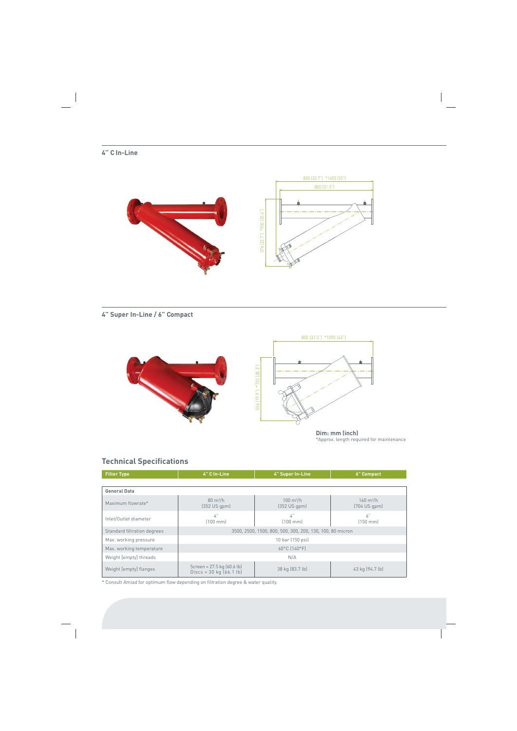### **4" C In-Line**



**4" Super In-Line / 6" Compact**



\*Approx. length required for maintenance

## **Technical Specifications**

| <b>Filter Type</b>          | 4" C In-Line                                                                          | 4" Super In-Line                      | <b>6</b> " Compact                       |  |
|-----------------------------|---------------------------------------------------------------------------------------|---------------------------------------|------------------------------------------|--|
|                             |                                                                                       |                                       |                                          |  |
| <b>General Data</b>         |                                                                                       |                                       |                                          |  |
| Maximum flowrate*           | $80 \text{ m}^3/h$<br>$(352 \cup S qpm)$                                              | $100 \text{ m}^3/h$<br>$(352 US qpm)$ | $160 \text{ m}^3/h$<br>$[704$ US gpm $]$ |  |
| Inlet/Outlet diameter       | 4"<br>$(100 \text{ mm})$                                                              | 4"<br>$[100$ mm $]$                   | 6"<br>$[150$ mm $]$                      |  |
| Standard filtration degrees | 3500, 2500, 1500, 800, 500, 300, 200, 130, 100, 80 micron                             |                                       |                                          |  |
| Max. working pressure       | 10 bar (150 psi)                                                                      |                                       |                                          |  |
| Max. working temperature    | 60°C [140°F]                                                                          |                                       |                                          |  |
| Weight [empty] threads      | N/A                                                                                   |                                       |                                          |  |
| Weight [empty] flanges      | Screen = $27.5$ kg $(60.6 \text{ lb})$<br>Discs = $30 \text{ kg}$ $(66.1 \text{ lb})$ | 38 kg (83.7 lb)                       | 43 kg (94.7 lb)                          |  |

\* Consult Amiad for optimum flow depending on filtration degree & water quality.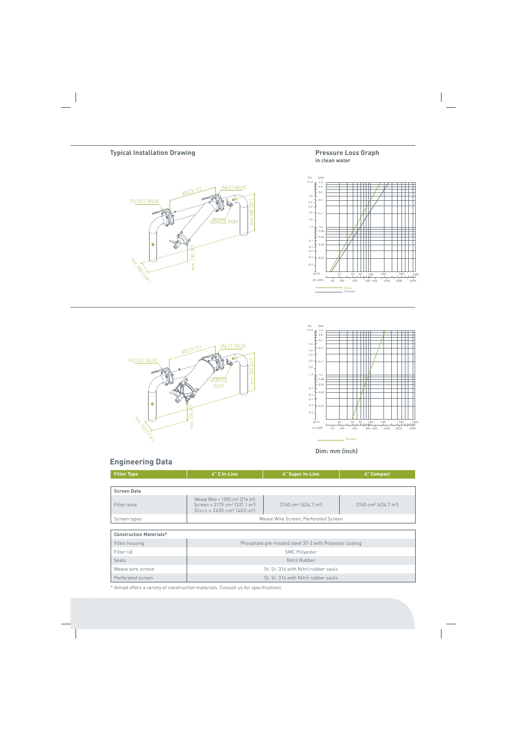#### **Pressure Loss Graph in clean water**









**Dim: mm (inch)**

### **Engineering Data**

| <b>Filter Type</b>             | 4" C In-Line                                                                                                                                                                | 4" Super In-Line                                        | <b>6</b> " Compact                            |  |
|--------------------------------|-----------------------------------------------------------------------------------------------------------------------------------------------------------------------------|---------------------------------------------------------|-----------------------------------------------|--|
|                                |                                                                                                                                                                             |                                                         |                                               |  |
| <b>Screen Data</b>             |                                                                                                                                                                             |                                                         |                                               |  |
| Filter area                    | Weave Wire = $1392 \text{ cm}^2$ (216 in <sup>2</sup> )<br>Screen = $2175$ cm <sup>2</sup> $(337.1$ in <sup>2</sup> )<br>Discs = $2600 \text{ cm}^2$ (403 in <sup>2</sup> ) | 2740 cm <sup>2</sup> (424.7 in <sup>2</sup> )           | 2740 cm <sup>2</sup> (424.7 in <sup>2</sup> ) |  |
| Screen types                   | Weave Wire Screen, Perforated Screen                                                                                                                                        |                                                         |                                               |  |
|                                |                                                                                                                                                                             |                                                         |                                               |  |
| <b>Construction Materials*</b> |                                                                                                                                                                             |                                                         |                                               |  |
| Filter housing                 |                                                                                                                                                                             | Phosphate pre-treated steel 37-2 with Polyester coating |                                               |  |
| Filter lid                     | <b>SMC Polyester</b>                                                                                                                                                        |                                                         |                                               |  |
| Seals                          | Nitril Rubber                                                                                                                                                               |                                                         |                                               |  |
| Weave wire screen              |                                                                                                                                                                             | St. St. 316 with Nitril rubber seals                    |                                               |  |
|                                |                                                                                                                                                                             |                                                         |                                               |  |

Perforated screen St. St. 316 with Nitril rubber seals

\* Amiad offers a variety of construction materials. Consult us for specifications.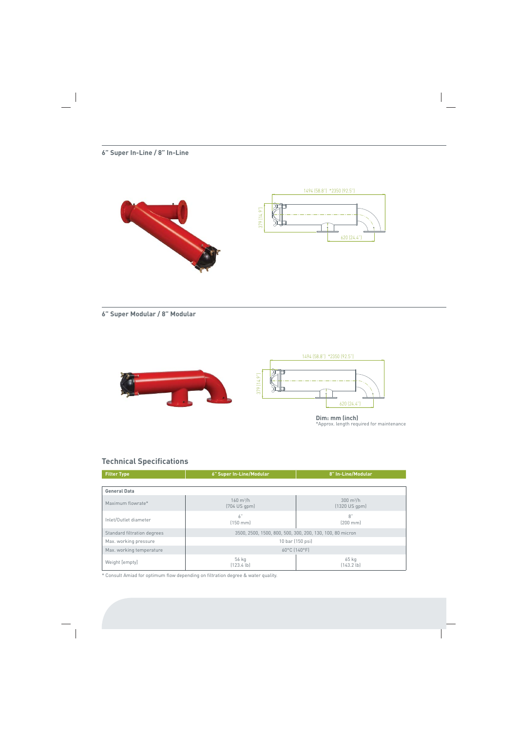### **6" Super In-Line / 8" In-Line**





**6" Super Modular / 8" Modular**



\*Approx. length required for maintenance

### **Technical Specifications**

| <b>Filter Type</b>          | 6" Super In-Line/Modular                                  | 8" In-Line/Modular                               |  |
|-----------------------------|-----------------------------------------------------------|--------------------------------------------------|--|
|                             |                                                           |                                                  |  |
| <b>General Data</b>         |                                                           |                                                  |  |
| Maximum flowrate*           | $160 \text{ m}^3/h$<br>$(704$ US gpm $)$                  | $300 \text{ m}^3/\text{h}$<br>$(1320$ US qpm $)$ |  |
| Inlet/Outlet diameter       | 6"<br>$[150$ mm $]$                                       | 8"<br>$(200 \text{ mm})$                         |  |
| Standard filtration degrees | 3500, 2500, 1500, 800, 500, 300, 200, 130, 100, 80 micron |                                                  |  |
| Max. working pressure       | 10 bar (150 psi)                                          |                                                  |  |
| Max. working temperature    | 60°C (140°F)                                              |                                                  |  |
| Weight [empty]              | 56 kg<br>(123.4 lb)                                       | $65$ kg<br>(143.2 lb)                            |  |

\* Consult Amiad for optimum flow depending on filtration degree & water quality.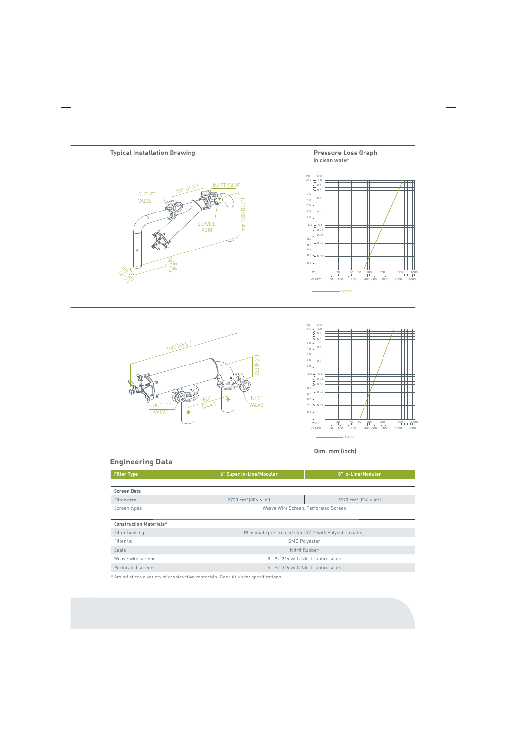









**Dim: mm (inch)**

### **Engineering Data**

| <b>Filter Type</b>                                                        | 6" Super In-Line/Modular                      | 8" In-Line/Modular                            |  |
|---------------------------------------------------------------------------|-----------------------------------------------|-----------------------------------------------|--|
|                                                                           |                                               |                                               |  |
| <b>Screen Data</b>                                                        |                                               |                                               |  |
| Filter area                                                               | 5720 cm <sup>2</sup> (886.6 in <sup>2</sup> ) | 5720 cm <sup>2</sup> [886.6 in <sup>2</sup> ] |  |
| Screen types                                                              | Weave Wire Screen, Perforated Screen          |                                               |  |
|                                                                           |                                               |                                               |  |
| <b>Construction Materials*</b>                                            |                                               |                                               |  |
| Phosphate pre-treated steel 37-2 with Polyester coating<br>Filter housing |                                               |                                               |  |

| Filter housing    | Phosphate pre-treated steel 37-2 with Polyester coating |
|-------------------|---------------------------------------------------------|
| Filter lid        | <b>SMC Polyester</b>                                    |
| Seals             | Nitril Rubber                                           |
| Weave wire screen | St. St. 316 with Nitril rubber seals                    |
| Perforated screen | St. St. 316 with Nitril rubber seals                    |

\* Amiad offers a variety of construction materials. Consult us for specifications.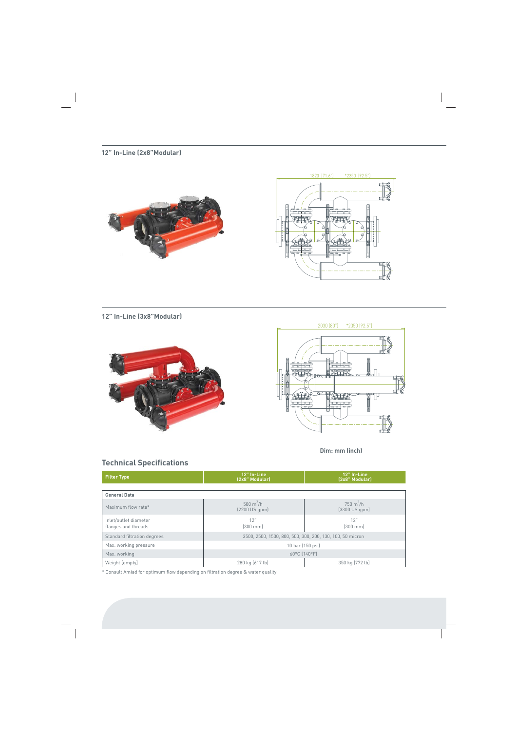### **12" In-Line (2x8"Modular)**





### **12" In-Line (3x8"Modular)**





 **Dim: mm (inch)**

## **Technical Specifications**

| <b>Filter Type</b>                           | 12" In-Line<br>(2x8" Modular)                             | 12" In-Line<br>(3x8" Modular)                   |  |
|----------------------------------------------|-----------------------------------------------------------|-------------------------------------------------|--|
|                                              |                                                           |                                                 |  |
| <b>General Data</b>                          |                                                           |                                                 |  |
| Maximum flow rate*                           | $500 \text{ m}^3/\text{h}$<br>$(2200 \text{ US qpm})$     | $750 \text{ m}^3/\text{h}$<br>$(3300$ US $qpm)$ |  |
| Inlet/outlet diameter<br>flanges and threads | 12"<br>$[300$ mm $]$                                      | 12"<br>$[300$ mm $]$                            |  |
| Standard filtration degrees                  | 3500, 2500, 1500, 800, 500, 300, 200, 130, 100, 50 micron |                                                 |  |
| Max. working pressure                        | 10 bar (150 psi)                                          |                                                 |  |
| Max. working                                 | 60°C [140°F]                                              |                                                 |  |
| Weight [empty]                               | 280 kg (617 lb)<br>350 kg (772 lb)                        |                                                 |  |

\* Consult Amiad for optimum flow depending on filtration degree & water quality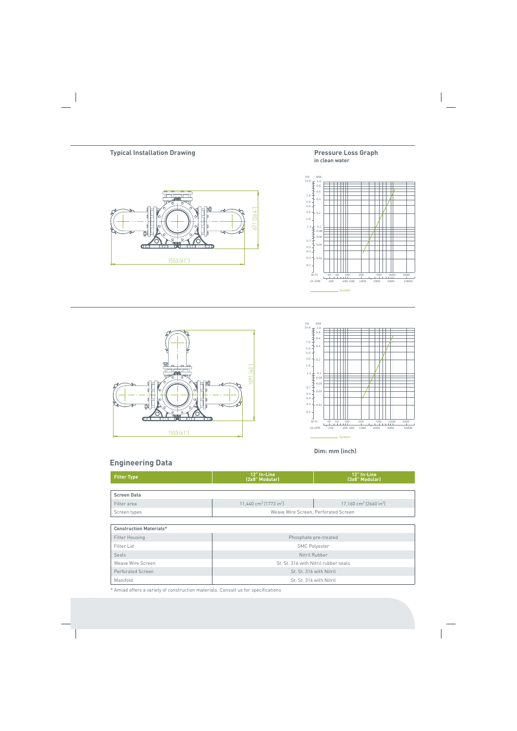### **Pressure Loss Graph in clean water**









**Dim: mm (inch)**

### **Engineering Data**

| <b>Filter Type</b>             | 12" In-Line<br>(2x8" Modular)                  | 12" In-Line<br>(3x8" Modular)                  |  |  |
|--------------------------------|------------------------------------------------|------------------------------------------------|--|--|
| <b>Screen Data</b>             |                                                |                                                |  |  |
| Filter area                    | 11,440 cm <sup>2</sup> (1773 in <sup>2</sup> ) | 17,160 cm <sup>2</sup> (2660 in <sup>2</sup> ) |  |  |
| Screen types                   |                                                | Weave Wire Screen, Perforated Screen           |  |  |
|                                |                                                |                                                |  |  |
| <b>Construction Materials*</b> |                                                |                                                |  |  |
| <b>Filter Housing</b>          |                                                | Phosphate pre-treated                          |  |  |
| Filter Lid                     | <b>SMC Polyester</b>                           |                                                |  |  |
| Seals                          | Nitril Rubber                                  |                                                |  |  |
| Weave Wire Screen              | St. St. 316 with Nitril rubber seals           |                                                |  |  |
| <b>Perforated Screen</b>       | St. St. 316 with Nitril                        |                                                |  |  |
| Manifold                       | St. St. 316 with Nitril                        |                                                |  |  |

\* Amiad offers a variety of construction materials. Consult us for specifications